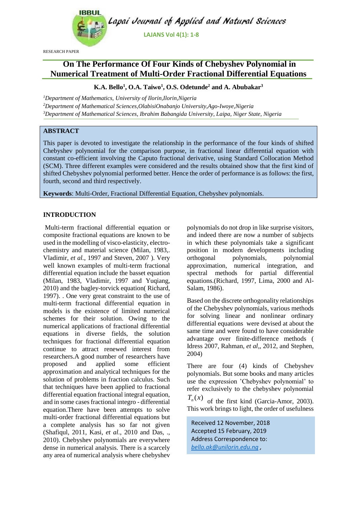

RESEARCH PAPER

# **On The Performance Of Four Kinds of Chebyshev Polynomial in Numerical Treatment of Multi-Order Fractional Differential Equations**

## **K.A. Bello<sup>1</sup> , O.A. Taiwo<sup>1</sup> , O.S. Odetunde<sup>2</sup> and A. Abubakar<sup>3</sup>**

*<sup>1</sup>Department of Mathematics, University of Ilorin,Ilorin,Nigeria <sup>2</sup>Department of Mathematical Sciences,OlabisiOnabanjo University,Ago-Iwoye,Nigeria <sup>3</sup>Department of Mathematical Sciences, Ibrahim Babangida University, Laipa, Niger State, Nigeria*

## **ABSTRACT**

This paper is devoted to investigate the relationship in the performance of the four kinds of shifted Chebyshev polynomial for the comparison purpose, in fractional linear differential equation with constant co-efficient involving the Caputo fractional derivative, using Standard Collocation Method (SCM). Three different examples were considered and the results obtained show that the first kind of shifted Chebyshev polynomial performed better. Hence the order of performance is as follows: the first, fourth, second and third respectively.

**Keywords**: Multi-Order, Fractional Differential Equation, Chebyshev polynomials.

## **INTRODUCTION**

Multi-term fractional differential equation or composite fractional equations are known to be used in the modelling of visco-elasticity, electrochemistry and material science (Milan, 1983,. Vladimir, *et al.*, 1997 and Steven, 2007 ). Very well known examples of multi-term fractional differential equation include the basset equation (Milan, 1983, Vladimir, 1997 and Yuqiang, 2010) and the bagley-torvick equation( Richard, 1997). . One very great constraint to the use of multi-term fractional differential equation in models is the existence of limited numerical schemes for their solution. Owing to the numerical applications of fractional differential equations in diverse fields, the solution techniques for fractional differential equation continue to attract renewed interest from researchers.A good number of researchers have proposed and applied some efficient approximation and analytical techniques for the solution of problems in fraction calculus. Such that techniques have been applied to fractional differential equation fractional integral equation, and in some cases fractional integro - differential equation.There have been attempts to solve multi-order fractional differential equations but a complete analysis has so far not given (Shafiqul, 2011, Kasi, *et al.*, 2010 and Das, ., 2010). Chebyshev polynomials are everywhere dense in numerical analysis. There is a scarcely any area of numerical analysis where chebyshev

polynomials do not drop in like surprise visitors, and indeed there are now a number of subjects in which these polynomials take a significant position in modern developments including orthogonal polynomials, polynomial approximation, numerical integration, and spectral methods for partial differential equations.(Richard, 1997, Lima, 2000 and Al-Salam, 1986).

Based on the discrete orthogonality relationships of the Chebyshev polynomials, various methods for solving linear and nonlinear ordinary differential equations were devised at about the same time and were found to have considerable advantage over finite-difference methods ( Idress 2007, Rahman, *et al*,, 2012, and Stephen, 2004)

There are four (4) kinds of Chebyshev polynomials. But some books and many articles use the expression 'Chebyshev polynomial' to refer exclusively to the chebyshev polynomial

 $T_n(x)$  of the first kind (Garcia-Amor, 2003). This work brings to light, the order of usefulness

Received 12 November, 2018 Accepted 15 February, 2019 Address Correspondence to: *[bello.ak@unilorin.edu.ng](mailto:bello.ak@unilorin.edu.ng) ,*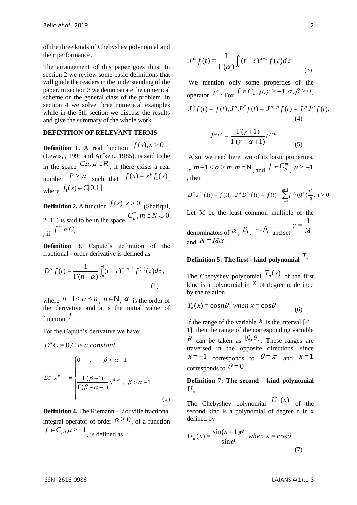of the three kinds of Chebyshev polynomial and their performance.

The arrangement of this paper goes thus: In section 2 we review some basic definitions that will guide the readers in the understanding of the paper, in section 3 we demonstrate the numerical scheme on the general class of the problem, in section 4 we solve three numerical examples while in the 5th section we discuss the results and give the summary of the whole work.

#### **DEFINITION OF RELEVANT TERMS**

**Definition 1.** A real function  $f(x)$ ,  $x > 0$ , (Lewis,., 1991 and Arfken., 1985), is said to be in the space  $C\mu$ ,  $\mu \in \mathsf{R}$ , if there exists a real number  $P > \mu$  such that  $f(x) = x^p f_1(x)$ , where  $f_1(x) \in C[0,1]$ 

**Definition 2.** A function  $f(x)$ ,  $x > 0$ , (Shafiqul, 2011) is said to be in the space  $C_{\mu}^{m}$ ,  $m \in N \cup 0$ μ  $\int$ , if  $f^m \in C_\mu$ 

**Definition 3.** Caputo's definition of the fractional - order derivative is defined as

$$
D^{\alpha} f(t) = \frac{1}{\Gamma(n-\alpha)} \int_a^t (t-\tau)^{n-\alpha-1} f^{(n)}(\tau) d\tau,
$$
\n(1)

where  $n-1 < \alpha \le n$ ,  $n \in \mathbb{N}$ ,  $\alpha$  is the order of the derivative and a is the initial value of function *f* .

For the Caputo's derivative we have:

$$
D^{\alpha}C = 0, C \text{ is a constant}
$$
  

$$
D_*^{\alpha} x^{\beta} = \begin{cases} 0, & \beta < \alpha - 1 \\ \frac{\Gamma(\beta + 1)}{\Gamma(\beta - \alpha - 1)} x^{\beta - \alpha}, & \beta > \alpha - 1 \end{cases}
$$
 (2)

**Definition 4.** The Riemann - Liouville fractional integral operator of order  $\alpha \ge 0$ , of a function  $f \in C_\mu$ ,  $\mu \ge -1$ , is defined as

$$
J^{\alpha} f(t) = \frac{1}{\Gamma(\alpha)} \int_{a}^{t} (t - \tau)^{\alpha - 1} f(\tau) d\tau
$$
 (3)

We mention only some properties of the operator  $J^{\alpha}$ : For  $f \in C_{\mu}$ ,  $\mu$ ,  $\gamma \ge -1$ ,  $\alpha$ ,  $\beta \ge 0$ .

$$
J^{0}f(t) = f(t), J^{\alpha}J^{\beta}f(t) = J^{\alpha+\beta}f(t) = J^{\beta}J^{\alpha}f(t),
$$
  
(4)  

$$
J^{\alpha}t^{\gamma} = \frac{\Gamma(\gamma+1)}{\Gamma(\gamma+1)}t^{\gamma+\alpha}
$$

$$
J \quad l \quad -\frac{\Gamma(\gamma + \alpha + 1)}{\Gamma(\gamma + \alpha + 1)} \tag{5}
$$

Also, we need here two of its basic properties. If  $m-1 < \alpha \ge m, m \in \mathbb{N}$ , and  $f \in C_{\mu}^{m}$ ,  $\mu \ge -1$ , then

$$
D^{\alpha} J^{\alpha} f(t) = f(t), \quad J^{\alpha} D^{\alpha} f(t) = f(t) - \sum_{i=0}^{m-1} f^{(i)}(0^{+}) \frac{t^{i}}{i!}, \quad t > 0
$$

Let M be the least common multiple of the

denominators of  $\alpha$ ,  $\beta_1$ ,  $\cdots$ ,  $\beta_n$  and set  $\alpha_n$  $\gamma = \frac{1}{\sqrt{2}}$ and  $N = M\alpha$ .

# **Definition 5: The first - kind polynomial**  *Tn*

The Chebyshev polynomial  $T_n(x)$  of the first kind is a polynomial in  $^x$  of degree n, defined by the relation

$$
T_n(x) = \cos n\theta \quad when \ x = \cos \theta \tag{6}
$$

If the range of the variable  $x$  is the interval  $[-1]$ , 1], then the range of the corresponding variable  $\theta$  can be taken as  $[0,\theta]$ . These ranges are traversed in the opposite directions, since  $x = -1$  corresponds to  $\theta = \pi$  and  $x = 1$ corresponds to  $\theta = 0$ .

## **Definition 7: The second - kind polynomial**   $U_n$

The Chebyshev polynomial  $U_n(x)$  of the second kind is a polynomial of degree n in x defined by

$$
U_n(x) = \frac{\sin((n+1)\theta)}{\sin \theta} \text{ when } x = \cos \theta
$$
 (7)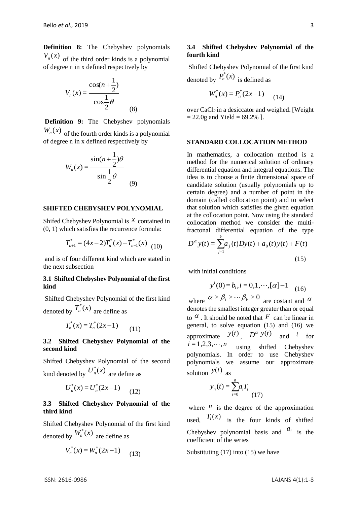**Definition 8:** The Chebyshev polynomials  $V_n(x)$  of the third order kinds is a polynomial of degree n in x defined respectively by

$$
V_n(x) = \frac{\cos(n + \frac{1}{2})}{\cos \frac{1}{2}\theta}
$$
 (8)

**Definition 9:** The Chebyshev polynomials  $W_n(x)$  of the fourth order kinds is a polynomial of degree n in x defined respectively by

$$
W_n(x) = \frac{\sin((n+\frac{1}{2})\theta)}{\sin(\frac{1}{2})\theta}
$$
 (9)

#### **SHIFTED CHEBYSHEV POLYNOMIAL**

Shifed Chebyshev Polynomial is  $\chi$  contained in (0, 1) which satisfies the recurrence formula:

$$
T_{n+1}^{*} = (4x-2)T_{n}^{*}(x) - T_{n-1}^{*}(x)
$$
 (10)

and is of four different kind which are stated in the next subsection

## **3.1 Shifted Chebyshev Polynomial of the first kind**

Shifted Chebyshev Polynomial of the first kind denoted by  $T_n^*(x)$  are define as

$$
T_n^*(x) = T_n^*(2x - 1) \tag{11}
$$

### **3.2 Shifted Chebyshev Polynomial of the second kind**

Shifted Chebyshev Polynomial of the second kind denoted by  $U_n^*(x)$  are define as

$$
U_n^*(x) = U_n^*(2x - 1) \tag{12}
$$

## **3.3 Shifted Chebyshev Polynomial of the third kind**

Shifted Chebyshev Polynomial of the first kind denoted by  $W_n^*(x)$  are define as

$$
V_n^*(x) = W_n^*(2x - 1) \tag{13}
$$

#### **3.4 Shifted Chebyshev Polynomial of the fourth kind**

Shifted Chebyshev Polynomial of the first kind denoted by  $P_n^*(x)$  is defined as

$$
W_n^*(x) = P_n^*(2x - 1) \tag{14}
$$

over  $CaCl<sub>2</sub>$  in a desiccator and weighed. [Weight  $= 22.0$ g and Yield  $= 69.2\%$ ].

#### **STANDARD COLLOCATION METHOD**

In mathematics, a collocation method is a method for the numerical solution of ordinary differential equation and integral equations. The idea is to choose a finite dimensional space of candidate solution (usually polynomials up to certain degree) and a number of point in the domain (called collocation point) and to select that solution which satisfies the given equation at the collocation point. Now using the standard collocation method we consider the multifractonal differential equation of the type

$$
D^{\alpha} y(t) = \sum_{j=1}^{k} a_j(t) Dy(t) + a_0(t) y(t) + F(t)
$$
\n(15)

with initial conditions

$$
y^{i}(0) = b_{i}, i = 0, 1, \cdots, [\alpha] - 1 \quad (16)
$$

where  $\alpha > \beta_1 > \cdots \beta_k > 0$  are costant and  $\alpha$ denotes the smallest integer greater than or equal to  $\alpha$ . It should be noted that F can be linear in general, to solve equation (15) and (16) we approximate  $y(t)$ ,  $D^{\alpha} y(t)$ and *t* for  $i = 1, 2, 3, \cdots, n$ using shifted Chebyshev polynomials. In order to use Chebyshev polynomials we assume our approximate solution  $y(t)$  as

$$
y_n(t) = \sum_{i=0}^n a_i T_i
$$
\n(17)

where  $\frac{n}{ }$  is the degree of the approximation used,  $T_i(x)$  is the four kinds of shifted Chebyshev polynomial basis and  $a_i$  is the coefficient of the series

Substituting (17) into (15) we have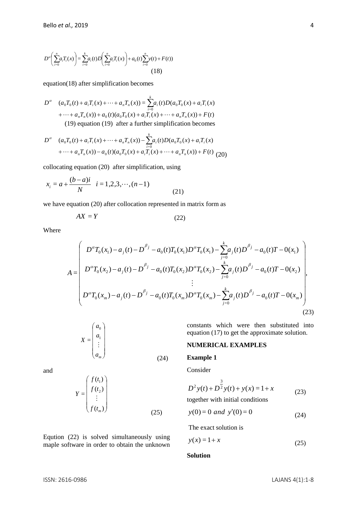$$
D^{a}\left(\sum_{i=0}^{n} a_{i} T_{i}(x)\right) = \sum_{i=0}^{k} a_{i}(t) D\left(\sum_{i=0}^{n} a_{i} T_{i}(x)\right) + a_{0}(t) \sum_{i=0}^{n} y(t) + F(t))
$$
\n(18)

equation(18) after simplification becomes

$$
D^{\alpha} \quad (a_0 T_0(t) + a_i T_i(x) + \dots + a_n T_n(x)) = \sum_{i=0}^{k} a_i(t) D(a_0 T_0(x) + a_i T_i(x) + \dots + a_n T_n(x)) + a_0(t) (a_0 T_0(x) + a_i T_i(x) + \dots + a_n T_n(x)) + F(t)
$$
  
(19) equation (19) after a further simplification becomes

$$
D^{\alpha} \quad (a_0 T_0(t) + a_i T_i(x) + \dots + a_n T_n(x)) - \sum_{i=0}^{k} a_i(t) D(a_0 T_0(x) + a_i T_i(x) + \dots + a_n T_n(x)) - a_0(t) (a_0 T_0(x) + a_i T_i(x) + \dots + a_n T_n(x)) + F(t)
$$
(20)

collocating equation (20) after simplification, using

$$
x_i = a + \frac{(b-a)i}{N} \quad i = 1, 2, 3, \cdots, (n-1)
$$
\n(21)

we have equation (20) after collocation represented in matrix form as

$$
AX = Y \tag{22}
$$

Where

$$
A = \begin{pmatrix} D^{\alpha}T_0(x_1) - a_j(t) - D^{\beta_j} - a_0(t)T_0(x_1)D^{\alpha}T_0(x_1) - \sum_{j=0}^{k} a_j(t)D^{\beta_j} - a_0(t)T - 0(x_1) \\ D^{\alpha}T_0(x_2) - a_j(t) - D^{\beta_j} - a_0(t)T_0(x_2)D^{\alpha}T_0(x_2) - \sum_{j=0}^{k} a_j(t)D^{\beta_j} - a_0(t)T - 0(x_2) \\ \vdots \\ D^{\alpha}T_0(x_m) - a_j(t) - D^{\beta_j} - a_0(t)T_0(x_m)D^{\alpha}T_0(x_m) - \sum_{j=0}^{k} a_j(t)D^{\beta_j} - a_0(t)T - 0(x_m) \end{pmatrix},
$$
\n(23)

$$
X = \begin{pmatrix} a_0 \\ a_1 \\ \vdots \\ a_m \end{pmatrix}
$$
 (24)

and

$$
Y = \begin{pmatrix} f(t_1) \\ f(t_2) \\ \vdots \\ f(t_m) \end{pmatrix}
$$
 (25)

Eqution (22) is solved simultaneously using maple software in order to obtain the unknown constants which were then substituted into equation (17) to get the approximate solution.

## **NUMERICAL EXAMPLES**

### **Example 1**

Consider

$$
D^{2}y(t) + D^{\frac{3}{2}}y(t) + y(x) = 1 + x
$$
 (23)

together with initial conditions

$$
y(0) = 0 \text{ and } y'(0) = 0 \tag{24}
$$

The exact solution is

$$
y(x) = 1 + x \tag{25}
$$

#### **Solution**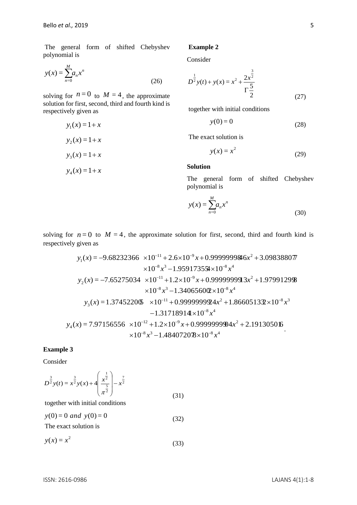The general form of shifted Chebyshev polynomial is

$$
y(x) = \sum_{n=0}^{M} a_n x^n
$$
 (26)

solving for  $n=0$  to  $M=4$ , the approximate solution for first, second, third and fourth kind is respectively given as

$$
y_1(x) = 1 + x
$$

$$
y_2(x) = 1 + x
$$

$$
y_3(x) = 1 + x
$$

$$
y_4(x) = 1 + x
$$

## **Example 2**

Consider

$$
D^{\frac{1}{2}}y(t) + y(x) = x^2 + \frac{2x^{\frac{3}{2}}}{\Gamma\frac{5}{2}}
$$
 (27)

together with initial conditions

$$
y(0) = 0 \tag{28}
$$

The exact solution is

$$
y(x) = x^2 \tag{29}
$$

#### **Solution**

The general form of shifted Chebyshev polynomial is

$$
y(x) = \sum_{n=0}^{M} a_n x^n
$$
\n(30)

solving for  $n=0$  to  $M=4$ , the approximate solution for first, second, third and fourth kind is respectively given as

$$
y_1(x) = -9.68232366 \times 10^{-11} + 2.6 \times 10^{-9} x + 0.9999999846x^2 + 3.098388077
$$
  
\n
$$
\times 10^{-8} x^3 - 1.959173554 \times 10^{-8} x^4
$$
  
\n
$$
y_2(x) = -7.65275034 \times 10^{-11} + 1.2 \times 10^{-9} x + 0.9999999913x^2 + 1.97991298
$$
  
\n
$$
\times 10^{-8} x^3 - 1.340656002 \times 10^{-8} x^4
$$
  
\n
$$
y_3(x) = 1.374522065 \times 10^{-11} + 0.9999999924x^2 + 1.866051332 \times 10^{-8} x^3
$$
  
\n
$$
-1.31718914 \times 10^{-8} x^4
$$
  
\n
$$
y_4(x) = 7.97156556 \times 10^{-12} + 1.2 \times 10^{-9} x + 0.999999994x^2 + 2.19130506
$$
  
\n
$$
\times 10^{-8} x^3 - 1.484072078 \times 10^{-8} x^4
$$

## **Example 3**

Consider

$$
D^{\frac{3}{2}}y(t) = x^{\frac{3}{2}}y(x) + 4\left(\frac{x^{\frac{1}{2}}}{\pi^{\frac{5}{2}}}\right) - x^{\frac{7}{2}}
$$
(31)

together with initial conditions

 $y(0) = 0$  *and*  $y(0) = 0$ (32)

The exact solution is

$$
y(x) = x^2 \tag{33}
$$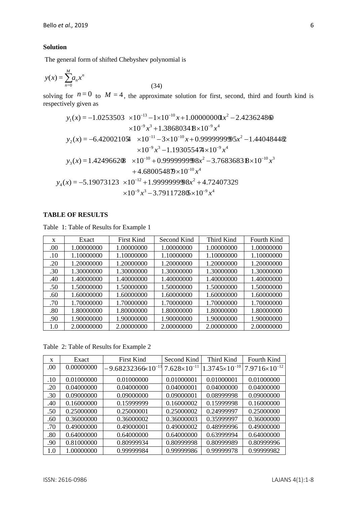#### **Solution**

The general form of shifted Chebyshev polynomial is

$$
y(x) = \sum_{n=0}^{M} a_n x^n
$$

solving for  $n=0$  to  $M=4$ , the approximate solution for first, second, third and fourth kind is respectively given as

(34)

$$
y_1(x) = -1.0253503 \times 10^{-13} - 1 \times 10^{-10} x + 1.000000000x^2 - 2.423624860
$$
  
\n
$$
\times 10^{-9} x^3 + 1.38680348 \times 10^{-9} x^4
$$
  
\n
$$
y_2(x) = -6.420021054 \times 10^{-11} - 3 \times 10^{-10} x + 0.999999995x^2 - 1.440484482
$$
  
\n
$$
\times 10^{-9} x^3 - 1.193055474 \times 10^{-9} x^4
$$
  
\n
$$
y_3(x) = 1.4249662(8 \times 10^{-10} + 0.999999998x^2 - 3.76836838 \times 10^{-10} x^3
$$
  
\n
$$
+ 4.680054879 \times 10^{-10} x^4
$$
  
\n
$$
y_4(x) = -5.19073123 \times 10^{-12} + 1.999999998x^2 + 4.72407329
$$
  
\n
$$
\times 10^{-9} x^3 - 3.79117286 \times 10^{-9} x^4
$$

## **TABLE OF RESULTS**

Table 1: Table of Results for Example 1

| X   | Exact      | <b>First Kind</b> | Second Kind | Third Kind | <b>Fourth Kind</b> |
|-----|------------|-------------------|-------------|------------|--------------------|
| .00 | 1.00000000 | 1.00000000        | 1.00000000  | 1.00000000 | 1.00000000         |
| .10 | 1.10000000 | 1.10000000        | 1.10000000  | 1.10000000 | 1.10000000         |
| .20 | 1.20000000 | 1.20000000        | 1.20000000  | 1.20000000 | 1.20000000         |
| .30 | 1.30000000 | 1.30000000        | 1.30000000  | 1.30000000 | 1.30000000         |
| .40 | 1.40000000 | 1.40000000        | 1.40000000  | 1.40000000 | 1.40000000         |
| .50 | 1.50000000 | 1.50000000        | 1.50000000  | 1.50000000 | 1.50000000         |
| .60 | 1.60000000 | 1.60000000        | 1.60000000  | 1.60000000 | 1.60000000         |
| .70 | 1.70000000 | 1.70000000        | 1.70000000  | 1.70000000 | 1.70000000         |
| .80 | 1.80000000 | 1.80000000        | 1.80000000  | 1.80000000 | 1.80000000         |
| .90 | 1.90000000 | 1.90000000        | 1.90000000  | 1.90000000 | 1.90000000         |
| 1.0 | 2.00000000 | 2.00000000        | 2.00000000  | 2.00000000 | 2.00000000         |

Table 2: Table of Results for Example 2

| X   | Exact      | <b>First Kind</b>             | Second Kind           | Third Kind             | Fourth Kind            |
|-----|------------|-------------------------------|-----------------------|------------------------|------------------------|
| .00 | 0.00000000 | $-9.68232366 \times 10^{-11}$ | $7.628\times10^{-11}$ | $1.3745\times10^{-10}$ | $7.9716\times10^{-12}$ |
| .10 | 0.01000000 | 0.01000000                    | 0.01000001            | 0.01000001             | 0.01000000             |
| .20 | 0.04000000 | 0.04000000                    | 0.04000001            | 0.04000000             | 0.04000000             |
| .30 | 0.09000000 | 0.09000000                    | 0.09000001            | 0.08999998             | 0.09000000             |
| .40 | 0.16000000 | 0.15999999                    | 0.16000002            | 0.15999998             | 0.16000000             |
| .50 | 0.25000000 | 0.25000001                    | 0.25000002            | 0.24999997             | 0.25000000             |
| .60 | 0.36000000 | 0.36000002                    | 0.36000003            | 0.35999997             | 0.36000000             |
| .70 | 0.49000000 | 0.49000001                    | 0.49000002            | 0.48999996             | 0.49000000             |
| .80 | 0.64000000 | 0.64000000                    | 0.64000000            | 0.63999994             | 0.64000000             |
| .90 | 0.81000000 | 0.80999934                    | 0.80999998            | 0.80999989             | 0.80999996             |
| 1.0 | 1.00000000 | 0.99999984                    | 0.99999986            | 0.99999978             | 0.99999982             |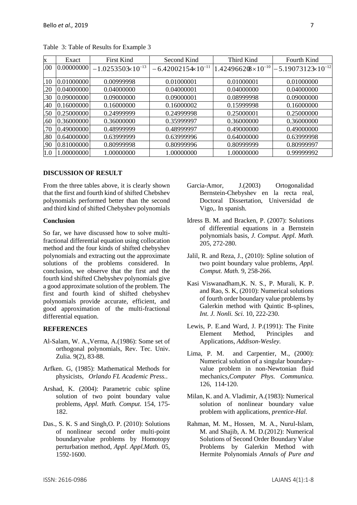| X   | Exact      | <b>First Kind</b>            | Second Kind                   | Third Kind                  | Fourth Kind                   |
|-----|------------|------------------------------|-------------------------------|-----------------------------|-------------------------------|
| .00 | 0.00000000 | $-1.0253503 \times 10^{-13}$ | $-6.42002154 \times 10^{-11}$ | $1.424966208\times10^{-10}$ | $-5.19073123 \times 10^{-12}$ |
| .10 | 0.01000000 | 0.00999998                   | 0.01000001                    | 0.01000001                  | 0.01000000                    |
| .20 | 0.04000000 | 0.04000000                   | 0.04000001                    | 0.04000000                  | 0.04000000                    |
| .30 | 0.09000000 | 0.09000000                   | 0.09000001                    | 0.08999998                  | 0.09000000                    |
| .40 | 0.16000000 | 0.16000000                   | 0.16000002                    | 0.15999998                  | 0.16000000                    |
| .50 | 0.25000000 | 0.24999999                   | 0.24999998                    | 0.25000001                  | 0.25000000                    |
| .60 | 0.36000000 | 0.36000000                   | 0.35999997                    | 0.36000000                  | 0.36000000                    |
| .70 | 0.49000000 | 0.48999999                   | 0.48999997                    | 0.49000000                  | 0.49000000                    |
| .80 | 0.64000000 | 0.63999999                   | 0.63999996                    | 0.64000000                  | 0.63999998                    |
| .90 | 0.81000000 | 0.80999998                   | 0.80999996                    | 0.80999999                  | 0.80999997                    |
| 1.0 | 1.00000000 | 1.00000000                   | 1.00000000                    | 1.00000000                  | 0.99999992                    |

Table 3: Table of Results for Example 3

#### **DISCUSSION OF RESULT**

From the three tables above, it is clearly shown that the first and fourth kind of shifted Chebshev polynomials performed better than the second and third kind of shifted Chebyshev polynomials

### **Conclusion**

So far, we have discussed how to solve multifractional differential equation using collocation method and the four kinds of shifted chebyshev polynomials and extracting out the approximate solutions of the problems considered. In conclusion, we observe that the first and the fourth kind shifted Chebyshev polynomials give a good approximate solution of the problem. The first and fourth kind of shifted chebyshev polynomials provide accurate, efficient, and good approximation of the multi-fractional differential equation.

## **REFERENCES**

- Al-Salam, W. A.,Verma, A.(1986): Some set of orthogonal polynomials, Rev. Tec. Univ. Zulia. 9(2), 83-88.
- Arfken. G, (1985): Mathematical Methods for physicists, *Orlando FL Academic Press.*.
- Arshad, K. (2004): Parametric cubic spline solution of two point boundary value problems, *Appl. Math. Comput.* 154, 175- 182.
- Das., S. K. S and Singh,O. P. (2010): Solutions of nonlinear second order multi-point boundaryvalue problems by Homotopy perturbation method, *Appl. Appl.Math.* 05, 1592-1600.
- Garcia-Amor, J.(2003) Ortogonalidad Bernstein-Chebyshev en la recta real, Doctoral Dissertation, Universidad de Vigo,. In spanish.
- Idress B. M. and Bracken, P. (2007): Solutions of differential equations in a Bernstein polynomials basis, *J. Comput. Appl. Math.* 205, 272-280.
- Jalil, R. and Reza, J., (2010): Spline solution of two point boundary value problems, *Appl. Comput. Math.* 9, 258-266.
- Kasi Viswanadham,K. N. S., P. Murali, K. P. and Rao, S. K, (2010): Numerical solutions of fourth order boundary value problems by Galerkin method with Quintic B-splines, *Int. J. Nonli. Sci.* 10, 222-230.
- Lewis, P. E.and Ward, J. P.(1991): The Finite Element Method, Principles and Applications, *Addison-Wesley.*
- Lima, P. M. and Carpentier, M., (2000): Numerical solution of a singular boundaryvalue problem in non-Newtonian fluid mechanics,*Computer Phys. Communica.* 126, 114-120.
- Milan, K. and A. Vladimir, A.(1983): Numerical solution of nonlinear boundary value problem with applications, *prentice-Hal.*
- Rahman, M. M., Hossen, M. A., Nurul-Islam, M. and Shajib, A. M. D.(2012): Numerical Solutions of Second Order Boundary Value Problems by Galerkin Method with Hermite Polynomials *Annals of Pure and*